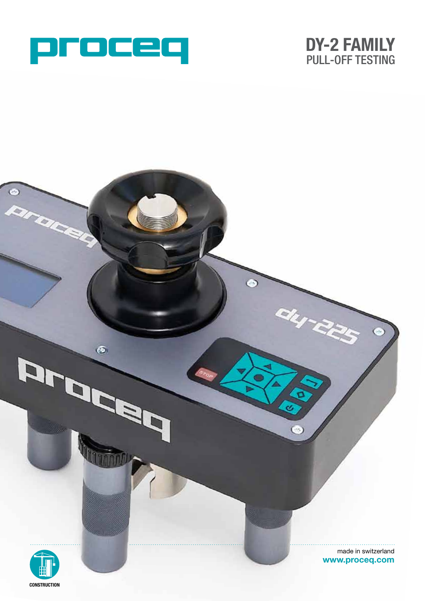



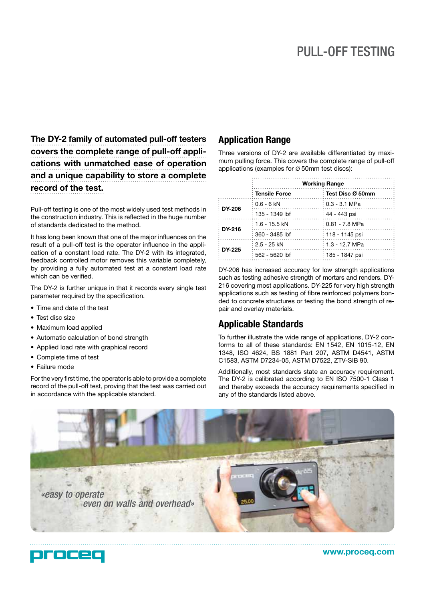**The DY-2 family of automated pull-off testers covers the complete range of pull-off applications with unmatched ease of operation and a unique capability to store a complete record of the test.**

Pull-off testing is one of the most widely used test methods in the construction industry. This is reflected in the huge number of standards dedicated to the method.

It has long been known that one of the major influences on the result of a pull-off test is the operator influence in the application of a constant load rate. The DY-2 with its integrated, feedback controlled motor removes this variable completely, by providing a fully automated test at a constant load rate which can be verified.

The DY-2 is further unique in that it records every single test parameter required by the specification.

- Time and date of the test
- Test disc size
- Maximum load applied
- Automatic calculation of bond strength
- Applied load rate with graphical record
- Complete time of test
- • Failure mode

For the very first time, the operator is able to provide a complete record of the pull-off test, proving that the test was carried out in accordance with the applicable standard.

#### **Application Range**

Three versions of DY-2 are available differentiated by maximum pulling force. This covers the complete range of pull-off applications (examples for Ø 50mm test discs):

|                     | <b>Working Range</b> |                  |
|---------------------|----------------------|------------------|
|                     | ं Tensile Force      | Test Disc Ø 50mm |
| $\therefore$ DY-206 | ∶ 0.6 - 6 kN         | ∶ 0.3 - 3.1 MPa  |
|                     | ∶ 135 - 1349 lbf     | ∶ 44 - 443 psi   |
| $\therefore$ DY-216 | ፡ 1.6 - 15.5 kN      | ∶ 0.81 - 7.8 MPa |
|                     | ∶ 360 - 3485 lbf     | ∶ 118 - 1145 psi |
| $\cdot$ DY-225      | 2.5 - 25 kN          | ∶ 1.3 - 12.7 MPa |
|                     | 562 - 5620 lbf       | 185 - 1847 psi   |

DY-206 has increased accuracy for low strength applications such as testing adhesive strength of mortars and renders. DY-216 covering most applications. DY-225 for very high strength applications such as testing of fibre reinforced polymers bonded to concrete structures or testing the bond strength of repair and overlay materials.

### **Applicable Standards**

To further illustrate the wide range of applications, DY-2 conforms to all of these standards: EN 1542, EN 1015-12, EN 1348, ISO 4624, BS 1881 Part 207, ASTM D4541, ASTM C1583, ASTM D7234-05, ASTM D7522, ZTV-SIB 90.

Additionally, most standards state an accuracy requirement. The DY-2 is calibrated according to EN ISO 7500-1 Class 1 and thereby exceeds the accuracy requirements specified in any of the standards listed above.





**www.proceq.com**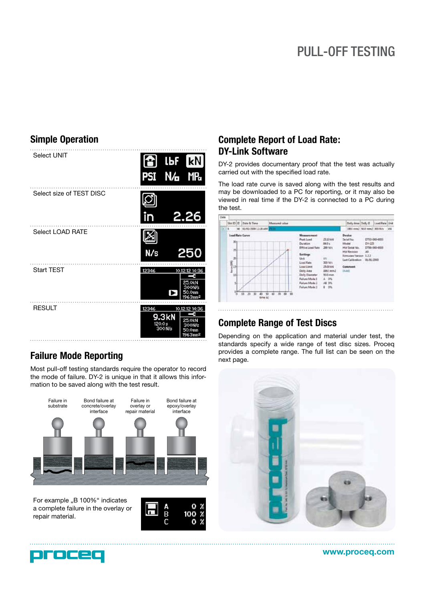# PULL-OFF TESTING

# **Simple Operation**



## **Failure Mode Reporting**

Most pull-off testing standards require the operator to record the mode of failure. DY-2 is unique in that it allows this information to be saved along with the test result.



For example "B 100%" indicates a complete failure in the overlay or repair material.



## **Complete Report of Load Rate: DY-Link Software**

DY-2 provides documentary proof that the test was actually carried out with the specified load rate.

The load rate curve is saved along with the test results and may be downloaded to a PC for reporting, or it may also be viewed in real time if the DY-2 is connected to a PC during the test.



## **Complete Range of Test Discs**

Depending on the application and material under test, the standards specify a wide range of test disc sizes. Proceq provides a complete range. The full list can be seen on the next page.





**www.proceq.com**